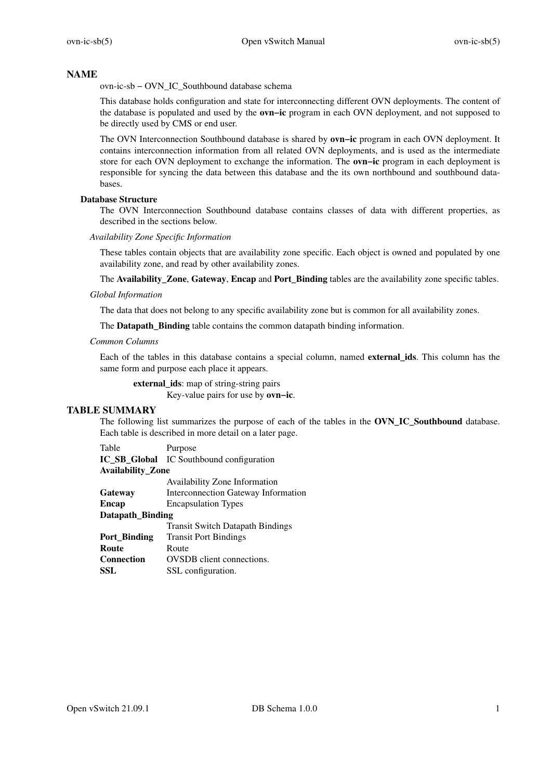## **NAME**

ovn-ic-sb − OVN\_IC\_Southbound database schema

This database holds configuration and state for interconnecting different OVN deployments. The content of the database is populated and used by the **ovn−ic** program in each OVN deployment, and not supposed to be directly used by CMS or end user.

The OVN Interconnection Southbound database is shared by **ovn−ic** program in each OVN deployment. It contains interconnection information from all related OVN deployments, and is used as the intermediate store for each OVN deployment to exchange the information. The **ovn−ic** program in each deployment is responsible for syncing the data between this database and the its own northbound and southbound databases.

# **Database Structure**

The OVN Interconnection Southbound database contains classes of data with different properties, as described in the sections below.

## *Availability Zone Specific Information*

These tables contain objects that are availability zone specific. Each object is owned and populated by one availability zone, and read by other availability zones.

The **Availability\_Zone**, Gateway, Encap and Port\_Binding tables are the availability zone specific tables.

#### *Global Information*

The data that does not belong to any specific availability zone but is common for all availability zones.

The **Datapath\_Binding** table contains the common datapath binding information.

# *Common Columns*

Each of the tables in this database contains a special column, named **external\_ids**. This column has the same form and purpose each place it appears.

**external\_ids**: map of string-string pairs

Key-value pairs for use by **ovn−ic**.

# **TABLE SUMMARY**

The following list summarizes the purpose of each of the tables in the **OVN\_IC\_Southbound** database. Each table is described in more detail on a later page.

Table Purpose **IC\_SB\_Global** IC Southbound configuration

## **Av ailability\_Zone**

|                         | Availability Zone Information           |
|-------------------------|-----------------------------------------|
| Gateway                 | Interconnection Gateway Information     |
| Encap                   | <b>Encapsulation Types</b>              |
| <b>Datapath_Binding</b> |                                         |
|                         | <b>Transit Switch Datapath Bindings</b> |
| Port Binding            | <b>Transit Port Bindings</b>            |
| Route                   | Route                                   |
| Connection              | <b>OVSDB</b> client connections.        |
| SSL                     | SSL configuration.                      |
|                         |                                         |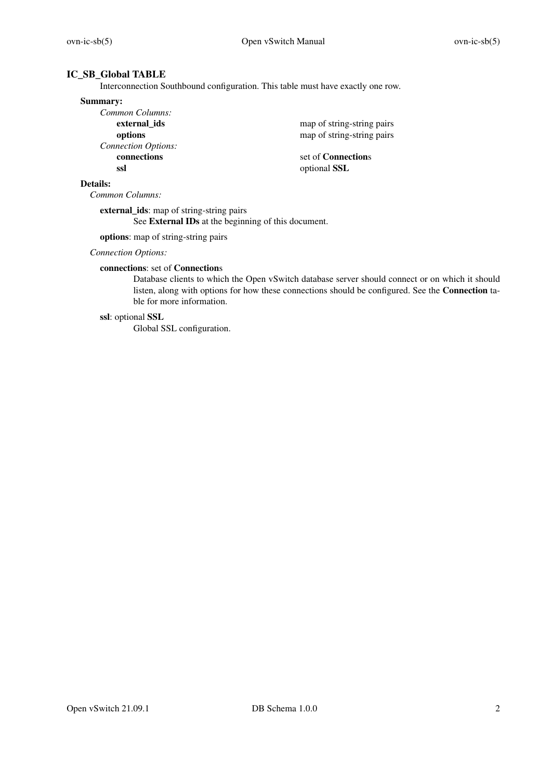# **IC\_SB\_Global TABLE**

Interconnection Southbound configuration. This table must have exactly one row.

#### **Summary:**

| Common Columns:            |  |
|----------------------------|--|
| external ids               |  |
| options                    |  |
| <b>Connection Options:</b> |  |
| connections                |  |
| ssl                        |  |

map of string-string pairs map of string-string pairs

**connections** set of **Connection**s **ssl** optional **SSL**

# **Details:**

*Common Columns:*

**external\_ids**: map of string-string pairs See **External IDs** at the beginning of this document.

**options**: map of string-string pairs

*Connection Options:*

# **connections**: set of **Connection**s

Database clients to which the Open vSwitch database server should connect or on which it should listen, along with options for how these connections should be configured. See the **Connection** table for more information.

# **ssl**: optional **SSL**

Global SSL configuration.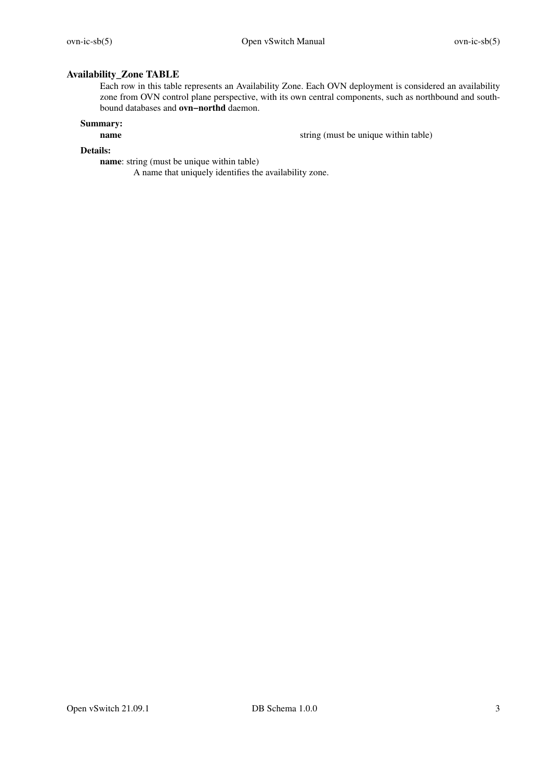# **Av ailability\_Zone TABLE**

Each row in this table represents an Availability Zone. Each OVN deployment is considered an availability zone from OVN control plane perspective, with its own central components, such as northbound and southbound databases and **ovn−northd** daemon.

# **Summary:**

string (must be unique within table)

# **Details:**

**name**: string (must be unique within table)

A name that uniquely identifies the availability zone.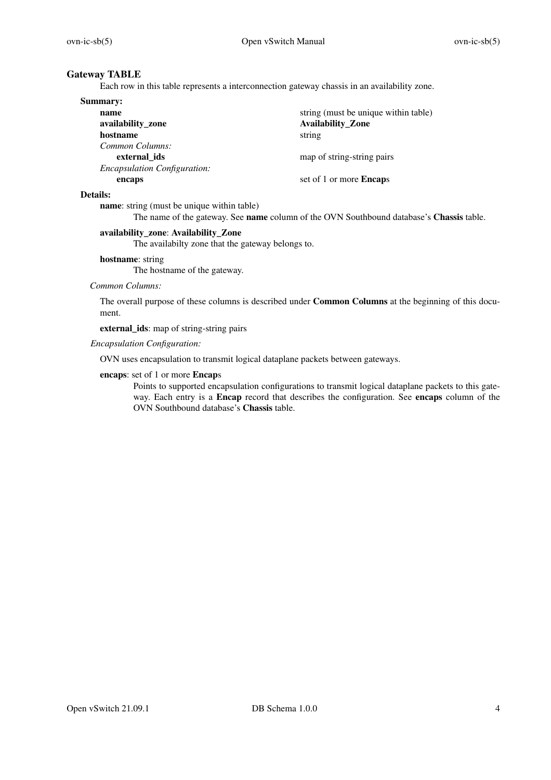# **Gateway TABLE**

Each row in this table represents a interconnection gateway chassis in an availability zone.

| <b>Summary:</b>                     |                                      |
|-------------------------------------|--------------------------------------|
| name                                | string (must be unique within table) |
| availability_zone                   | <b>Availability_Zone</b>             |
| hostname                            | string                               |
| Common Columns:                     |                                      |
| external ids                        | map of string-string pairs           |
| <b>Encapsulation Configuration:</b> |                                      |
| encaps                              | set of 1 or more <b>Encaps</b>       |

#### **Details:**

**name**: string (must be unique within table)

The name of the gateway. See **name** column of the OVN Southbound database's **Chassis** table.

# **av ailability\_zone**: **Av ailability\_Zone**

The availabilty zone that the gateway belongs to.

#### **hostname**: string

The hostname of the gateway.

# *Common Columns:*

The overall purpose of these columns is described under **Common Columns** at the beginning of this document.

**external\_ids**: map of string-string pairs

# *Encapsulation Configuration:*

OVN uses encapsulation to transmit logical dataplane packets between gateways.

# **encaps**: set of 1 or more **Encap**s

Points to supported encapsulation configurations to transmit logical dataplane packets to this gateway. Each entry is a **Encap** record that describes the configuration. See **encaps** column of the OVN Southbound database's **Chassis** table.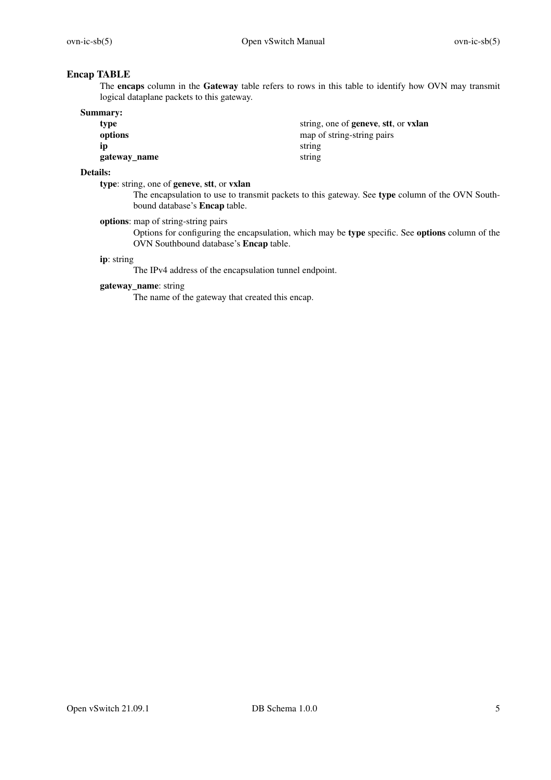# **Encap TABLE**

The **encaps** column in the **Gateway** table refers to rows in this table to identify how OVN may transmit logical dataplane packets to this gateway.

| <b>Summary:</b> |                                              |
|-----------------|----------------------------------------------|
| type            | string, one of <b>geneve</b> , stt, or vxlan |
| options         | map of string-string pairs                   |
| ıp              | string                                       |
| gateway_name    | string                                       |

# **Details:**

**type**: string, one of **geneve**, **stt**, or **vxlan**

The encapsulation to use to transmit packets to this gateway. See **type** column of the OVN Southbound database's **Encap** table.

**options**: map of string-string pairs

Options for configuring the encapsulation, which may be **type** specific. See **options** column of the OVN Southbound database's **Encap** table.

#### **ip**: string

The IPv4 address of the encapsulation tunnel endpoint.

# **gateway\_name**: string

The name of the gateway that created this encap.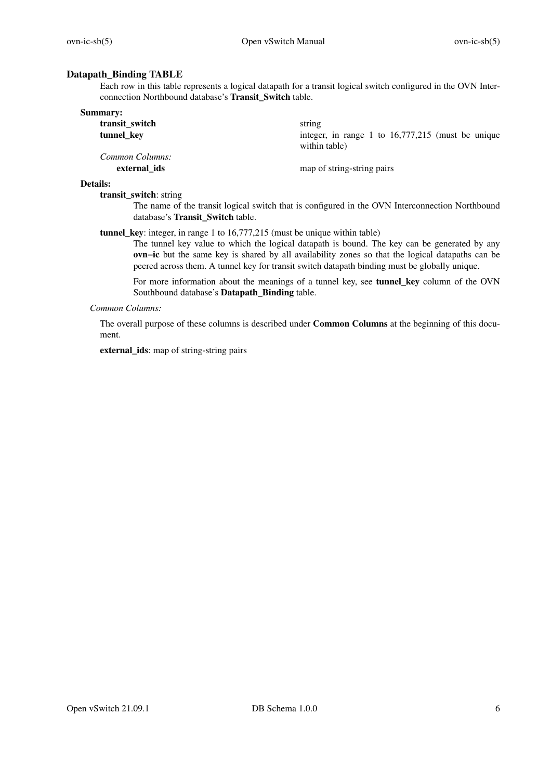# **Datapath\_Binding TABLE**

Each row in this table represents a logical datapath for a transit logical switch configured in the OVN Interconnection Northbound database's **Transit\_Switch** table.

| Summary:        |                                                                      |
|-----------------|----------------------------------------------------------------------|
| transit_switch  | string                                                               |
| tunnel_key      | integer, in range 1 to $16,777,215$ (must be unique<br>within table) |
| Common Columns: |                                                                      |
| external ids    | map of string-string pairs                                           |

#### **Details:**

**transit\_switch**: string

The name of the transit logical switch that is configured in the OVN Interconnection Northbound database's **Transit\_Switch** table.

**tunnel key**: integer, in range 1 to 16,777,215 (must be unique within table)

The tunnel key value to which the logical datapath is bound. The key can be generated by any **ovn−ic** but the same key is shared by all availability zones so that the logical datapaths can be peered across them. A tunnel key for transit switch datapath binding must be globally unique.

For more information about the meanings of a tunnel key, see **tunnel\_key** column of the OVN Southbound database's **Datapath\_Binding** table.

### *Common Columns:*

The overall purpose of these columns is described under **Common Columns** at the beginning of this document.

**external\_ids**: map of string-string pairs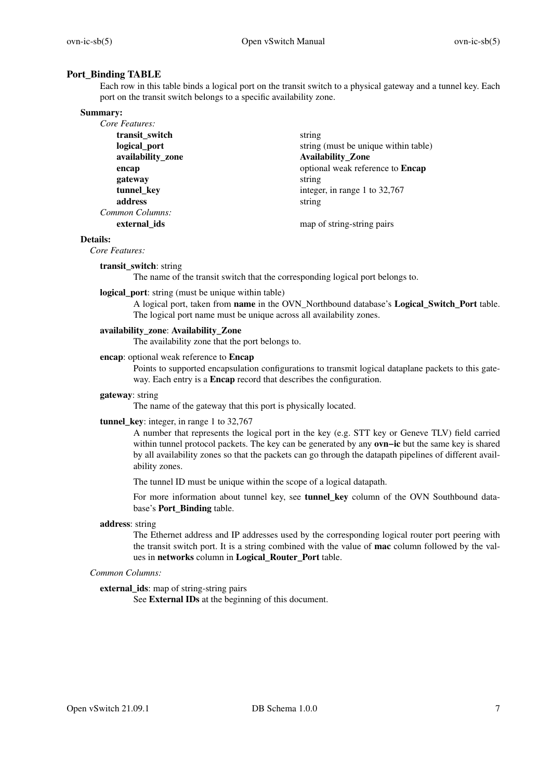# **Port\_Binding TABLE**

Each row in this table binds a logical port on the transit switch to a physical gateway and a tunnel key. Each port on the transit switch belongs to a specific availability zone.

#### **Summary:**

| Core Features:    |                                      |
|-------------------|--------------------------------------|
| transit_switch    | string                               |
| logical_port      | string (must be unique within table) |
| availability_zone | <b>Availability_Zone</b>             |
| encap             | optional weak reference to Encap     |
| gateway           | string                               |
| tunnel_key        | integer, in range 1 to 32,767        |
| address           | string                               |
| Common Columns:   |                                      |
| external ids      | map of string-string pairs           |

#### **Details:**

*Core Features:*

### **transit\_switch**: string

The name of the transit switch that the corresponding logical port belongs to.

#### **logical\_port**: string (must be unique within table)

A logical port, taken from **name** in the OVN\_Northbound database's **Logical\_Switch\_Port** table. The logical port name must be unique across all availability zones.

# availability\_zone: Availability\_Zone

The availability zone that the port belongs to.

#### **encap**: optional weak reference to **Encap**

Points to supported encapsulation configurations to transmit logical dataplane packets to this gateway. Each entry is a **Encap** record that describes the configuration.

#### **gateway**: string

The name of the gateway that this port is physically located.

# **tunnel** key: integer, in range 1 to 32,767

A number that represents the logical port in the key (e.g. STT key or Geneve TLV) field carried within tunnel protocol packets. The key can be generated by any **ovn−ic** but the same key is shared by all availability zones so that the packets can go through the datapath pipelines of different availability zones.

The tunnel ID must be unique within the scope of a logical datapath.

For more information about tunnel key, see **tunnel\_key** column of the OVN Southbound database's **Port\_Binding** table.

#### **address**: string

The Ethernet address and IP addresses used by the corresponding logical router port peering with the transit switch port. It is a string combined with the value of **mac** column followed by the values in **networks** column in **Logical\_Router\_Port** table.

## *Common Columns:*

#### **external\_ids**: map of string-string pairs

See **External IDs** at the beginning of this document.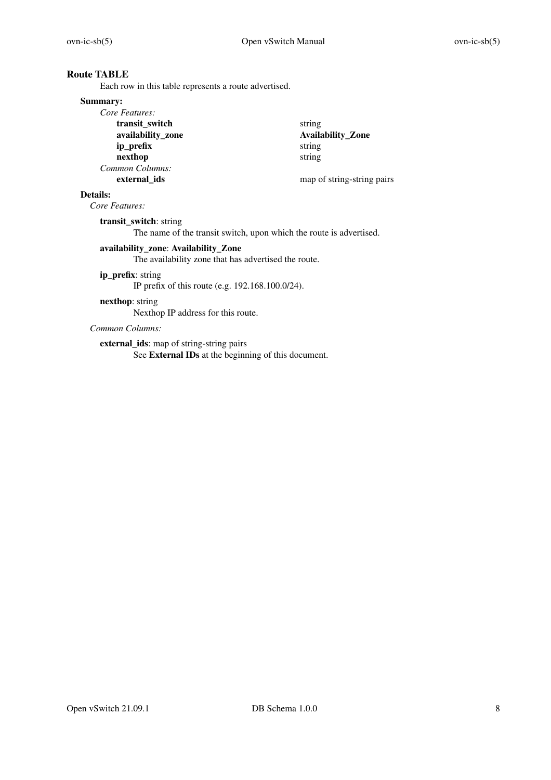# **Route TABLE**

Each row in this table represents a route advertised.

### **Summary:**

| Core Features:    |                            |
|-------------------|----------------------------|
| transit switch    | string                     |
| availability_zone | <b>Availability_Zone</b>   |
| ip_prefix         | string                     |
| nexthop           | string                     |
| Common Columns:   |                            |
| external ids      | map of string-string pairs |

# **Details:**

*Core Features:*

**transit\_switch**: string

The name of the transit switch, upon which the route is advertised.

# **av ailability\_zone**: **Av ailability\_Zone**

The availability zone that has advertised the route.

## **ip\_prefix**: string

IP prefix of this route (e.g. 192.168.100.0/24).

# **nexthop**: string

Nexthop IP address for this route.

# *Common Columns:*

**external\_ids**: map of string-string pairs See **External IDs** at the beginning of this document.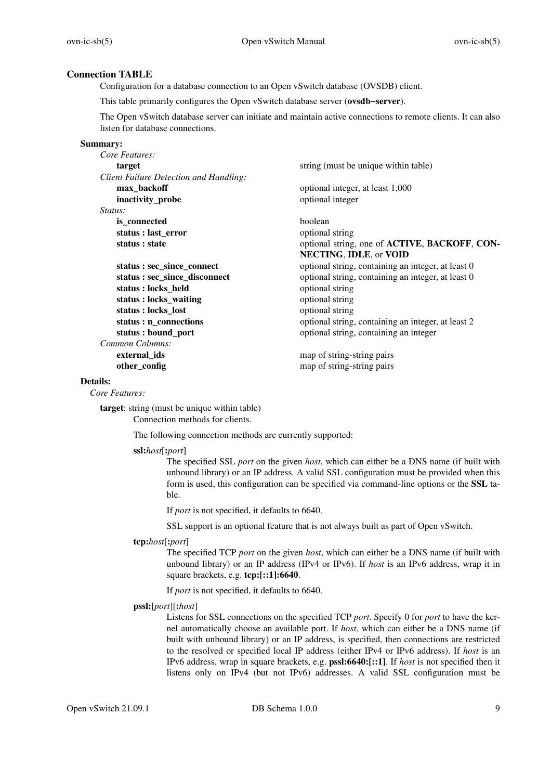# **Connection TABLE**

Configuration for a database connection to an Open vSwitch database (OVSDB) client.

This table primarily configures the Open vSwitch database server (**ovsdb−server**).

The Open vSwitch database server can initiate and maintain active connections to remote clients. It can also listen for database connections.

#### **Summary:**

| Core Features:                         |                                                    |
|----------------------------------------|----------------------------------------------------|
| target                                 | string (must be unique within table)               |
| Client Failure Detection and Handling: |                                                    |
| max_backoff                            | optional integer, at least 1,000                   |
| inactivity_probe                       | optional integer                                   |
| <i>Status:</i>                         |                                                    |
| is connected                           | <b>boolean</b>                                     |
| status : last_error                    | optional string                                    |
| status : state                         | optional string, one of ACTIVE, BACKOFF, CON-      |
|                                        | <b>NECTING, IDLE, or VOID</b>                      |
| status : sec_since_connect             | optional string, containing an integer, at least 0 |
| status : sec_since_disconnect          | optional string, containing an integer, at least 0 |
| status: locks_held                     | optional string                                    |
| status : locks_waiting                 | optional string                                    |
| status : locks_lost                    | optional string                                    |
| status : n_connections                 | optional string, containing an integer, at least 2 |
| status : bound_port                    | optional string, containing an integer             |
| Common Columns:                        |                                                    |
| external_ids                           | map of string-string pairs                         |
| other_config                           | map of string-string pairs                         |
|                                        |                                                    |

## **Details:**

*Core Features:*

**target**: string (must be unique within table) Connection methods for clients.

The following connection methods are currently supported:

#### **ssl:***host*[**:***port*]

The specified SSL *port* on the given *host*, which can either be a DNS name (if built with unbound library) or an IP address. A valid SSL configuration must be provided when this form is used, this configuration can be specified via command-line options or the **SSL** table.

If *port* is not specified, it defaults to 6640.

SSL support is an optional feature that is not always built as part of Open vSwitch.

## **tcp:***host*[**:***port*]

The specified TCP *port* on the given *host*, which can either be a DNS name (if built with unbound library) or an IP address (IPv4 or IPv6). If *host* is an IPv6 address, wrap it in square brackets, e.g. **tcp:[::1]:6640**.

If *port* is not specified, it defaults to 6640.

## **pssl:**[*port*][**:***host*]

Listens for SSL connections on the specified TCP *port*. Specify 0 for *port* to have the kernel automatically choose an available port. If *host*, which can either be a DNS name (if built with unbound library) or an IP address, is specified, then connections are restricted to the resolved or specified local IP address (either IPv4 or IPv6 address). If *host* is an IPv6 address, wrap in square brackets, e.g. **pssl:6640:[::1]**. If *host* is not specified then it listens only on IPv4 (but not IPv6) addresses. A valid SSL configuration must be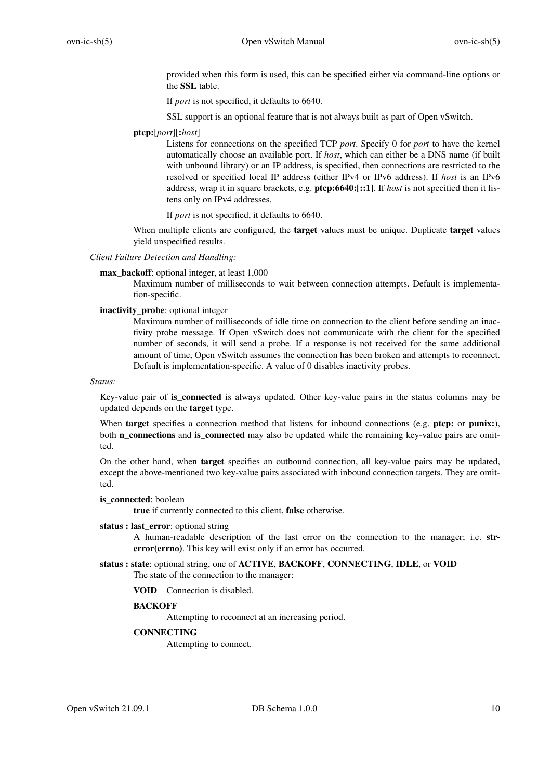provided when this form is used, this can be specified either via command-line options or the **SSL** table.

If *port* is not specified, it defaults to 6640.

SSL support is an optional feature that is not always built as part of Open vSwitch.

# **ptcp:**[*port*][**:***host*]

Listens for connections on the specified TCP *port*. Specify 0 for *port* to have the kernel automatically choose an available port. If *host*, which can either be a DNS name (if built with unbound library) or an IP address, is specified, then connections are restricted to the resolved or specified local IP address (either IPv4 or IPv6 address). If *host* is an IPv6 address, wrap it in square brackets, e.g. **ptcp:6640:[::1]**. If *host* is not specified then it listens only on IPv4 addresses.

If *port* is not specified, it defaults to 6640.

When multiple clients are configured, the **target** values must be unique. Duplicate **target** values yield unspecified results.

## *Client Failure Detection and Handling:*

**max** backoff: optional integer, at least 1,000

Maximum number of milliseconds to wait between connection attempts. Default is implementation-specific.

## **inactivity\_probe**: optional integer

Maximum number of milliseconds of idle time on connection to the client before sending an inactivity probe message. If Open vSwitch does not communicate with the client for the specified number of seconds, it will send a probe. If a response is not received for the same additional amount of time, Open vSwitch assumes the connection has been broken and attempts to reconnect. Default is implementation-specific. A value of 0 disables inactivity probes.

#### *Status:*

Key-value pair of **is\_connected** is always updated. Other key-value pairs in the status columns may be updated depends on the **target** type.

When **target** specifies a connection method that listens for inbound connections (e.g. **ptcp:** or **punix:**), both **n\_connections** and **is\_connected** may also be updated while the remaining key-value pairs are omitted.

On the other hand, when **target** specifies an outbound connection, all key-value pairs may be updated, except the above-mentioned two key-value pairs associated with inbound connection targets. They are omitted.

#### **is** connected: boolean

**true** if currently connected to this client, **false** otherwise.

#### **status : last\_error**: optional string

A human-readable description of the last error on the connection to the manager; i.e. **strerror(errno)**. This key will exist only if an error has occurred.

# **status : state**: optional string, one of **ACTIVE**, **BACKOFF**, **CONNECTING**, **IDLE**, or **VOID**

The state of the connection to the manager:

**VOID** Connection is disabled.

# **BACKOFF**

Attempting to reconnect at an increasing period.

# **CONNECTING**

Attempting to connect.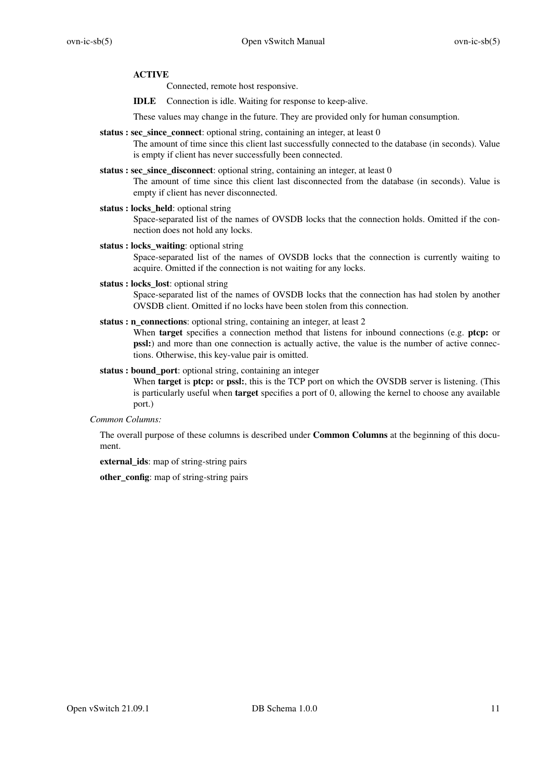# **ACTIVE**

Connected, remote host responsive.

**IDLE** Connection is idle. Waiting for response to keep-alive.

These values may change in the future. They are provided only for human consumption.

**status : sec\_since\_connect**: optional string, containing an integer, at least 0

The amount of time since this client last successfully connected to the database (in seconds). Value is empty if client has never successfully been connected.

- **status : sec\_since\_disconnect**: optional string, containing an integer, at least 0 The amount of time since this client last disconnected from the database (in seconds). Value is empty if client has never disconnected.
- **status : locks\_held**: optional string Space-separated list of the names of OVSDB locks that the connection holds. Omitted if the connection does not hold any locks.
- **status : locks\_waiting**: optional string Space-separated list of the names of OVSDB locks that the connection is currently waiting to acquire. Omitted if the connection is not waiting for any locks.
- **status : locks\_lost**: optional string Space-separated list of the names of OVSDB locks that the connection has had stolen by another OVSDB client. Omitted if no locks have been stolen from this connection.
- status : n\_connections: optional string, containing an integer, at least 2 When **target** specifies a connection method that listens for inbound connections (e.g. **ptcp:** or **pssl:**) and more than one connection is actually active, the value is the number of active connections. Otherwise, this key-value pair is omitted.
- **status : bound\_port**: optional string, containing an integer When **target** is **ptcp:** or **pssl:**, this is the TCP port on which the OVSDB server is listening. (This is particularly useful when **target** specifies a port of 0, allowing the kernel to choose any available port.)

*Common Columns:*

The overall purpose of these columns is described under **Common Columns** at the beginning of this document.

**external\_ids**: map of string-string pairs

**other** config: map of string-string pairs